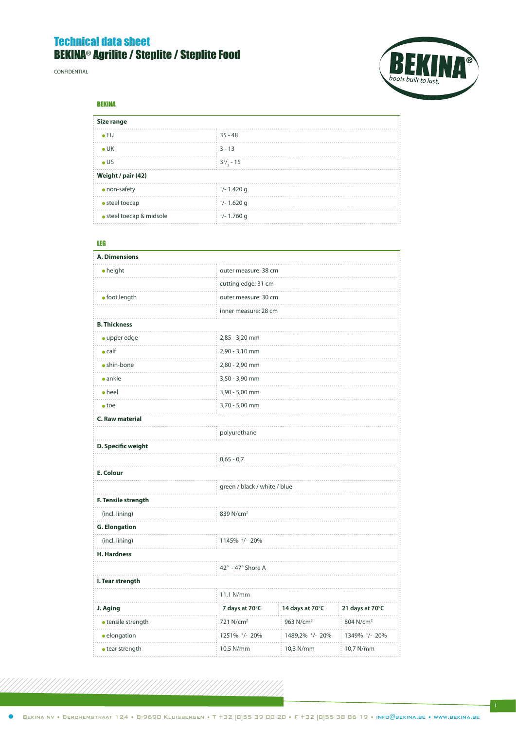# Technical data sheet BEKINA® Agrilite / Steplite / Steplite Food

confidential



BEKINA

| Size range               |                                                  |  |
|--------------------------|--------------------------------------------------|--|
| $\bullet$ EU             | $35 - 48$                                        |  |
| $\bullet$ UK             | $3 - 13$                                         |  |
| $\bullet$ US             | $\frac{1}{2}$ 3 <sup>1</sup> / <sub>2</sub> - 15 |  |
| Weight / pair (42)       |                                                  |  |
| • non-safety             | $\frac{1}{2}$ +/- 1.420 g                        |  |
| • steel toecap           | $^{+}/-1.620$ g                                  |  |
| · steel toecap & midsole | $^{+/}$ - 1.760 g                                |  |

### LEG

| A. Dimensions           |                              |                       |                       |  |
|-------------------------|------------------------------|-----------------------|-----------------------|--|
| $\bullet$ height        | outer measure: 38 cm         |                       |                       |  |
|                         | cutting edge: 31 cm          |                       |                       |  |
| · foot length           | outer measure: 30 cm<br>.    |                       |                       |  |
|                         | inner measure: 28 cm         |                       |                       |  |
| <b>B. Thickness</b>     |                              |                       |                       |  |
| • upper edge            | 2,85 - 3,20 mm<br>.          |                       |                       |  |
| $\bullet$ calf          | 2,90 - 3,10 mm               |                       |                       |  |
| · shin-bone             | 2,80 - 2,90 mm               |                       |                       |  |
| $\bullet$ ankle         | 3,50 - 3,90 mm               |                       |                       |  |
| $\bullet$ heel          | 3,90 - 5,00 mm               |                       |                       |  |
| $\bullet$ toe           | 3,70 - 5,00 mm               |                       |                       |  |
| <b>C. Raw material</b>  |                              |                       |                       |  |
|                         | polyurethane                 |                       |                       |  |
| D. Specific weight      |                              |                       |                       |  |
|                         | $0,65 - 0,7$                 |                       |                       |  |
| E. Colour               |                              |                       |                       |  |
|                         | green / black / white / blue |                       |                       |  |
| F. Tensile strength     |                              |                       |                       |  |
| (incl. lining)          | 839 N/cm <sup>2</sup>        |                       |                       |  |
| <b>G. Elongation</b>    |                              |                       |                       |  |
| (incl. lining)          | 1145% +/- 20%                |                       |                       |  |
| <b>H. Hardness</b>      |                              |                       |                       |  |
|                         | 42° - 47° Shore A            |                       |                       |  |
| I. Tear strength        |                              |                       |                       |  |
|                         | 11,1 N/mm                    |                       |                       |  |
| J. Aging                | 7 days at 70°C               | 14 days at 70°C       | 21 days at 70°C       |  |
| · tensile strength      | 721 N/cm <sup>2</sup>        | 963 N/cm <sup>2</sup> | 804 N/cm <sup>2</sup> |  |
| · elongation            | 1251% +/- 20%                | 1489,2% +/- 20%       | 1349% +/- 20%         |  |
| $\bullet$ tear strength | 10,5 N/mm                    | 10,3 N/mm             | 10,7 N/mm             |  |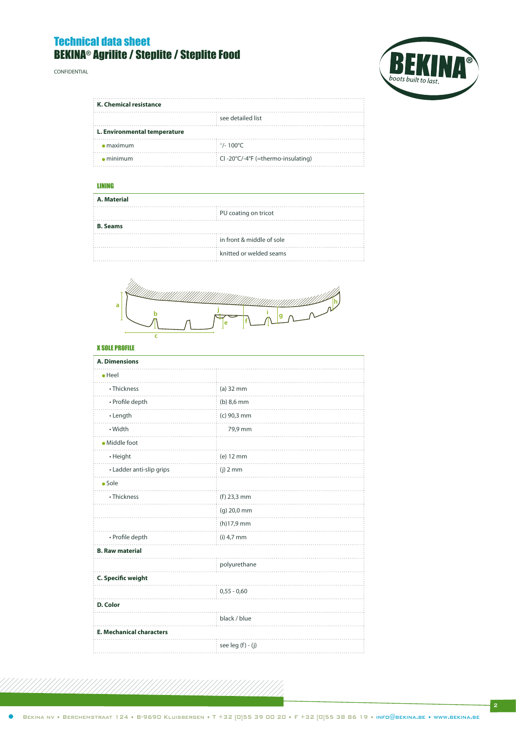# Technical data sheet BEKINA® Agrilite / Steplite / Steplite Food

confidential



| K. Chemical resistance       |                                   |
|------------------------------|-----------------------------------|
|                              | see detailed list                 |
| L. Environmental temperature |                                   |
| $\bullet$ maximum            | $+/- 100^{\circ}$ C               |
| $\bullet$ minimum            | CI-20°C/-4°F (=thermo-insulating) |

### LINING

| A. Material     |                                         |  |
|-----------------|-----------------------------------------|--|
|                 | <b>PU</b> coating on tricot             |  |
| <b>B.</b> Seams |                                         |  |
|                 | $\frac{1}{2}$ in front & middle of sole |  |
|                 | knitted or welded seams                 |  |



### X SOLE PROFILE

| <b>A. Dimensions</b>            |                   |
|---------------------------------|-------------------|
| $\bullet$ Heel                  |                   |
| • Thickness                     | $(a)$ 32 mm       |
| • Profile depth                 | $(b)$ 8,6 mm      |
| • Length                        | (c) 90,3 mm       |
| • Width                         | 79,9 mm           |
| · Middle foot                   |                   |
| • Height                        | (e) 12 mm         |
| • Ladder anti-slip grips        | $(j)$ 2 mm        |
| $\bullet$ Sole                  |                   |
| • Thickness                     | $(f)$ 23,3 mm     |
|                                 | (g) 20,0 mm       |
|                                 | $(h)$ 17,9 mm     |
| • Profile depth                 | $(i)$ 4,7 mm      |
| <b>B. Raw material</b>          |                   |
|                                 | polyurethane      |
| C. Specific weight              |                   |
|                                 | $0,55 - 0,60$     |
| D. Color                        |                   |
|                                 | black / blue      |
| <b>E. Mechanical characters</b> |                   |
|                                 | see leg (f) - (j) |